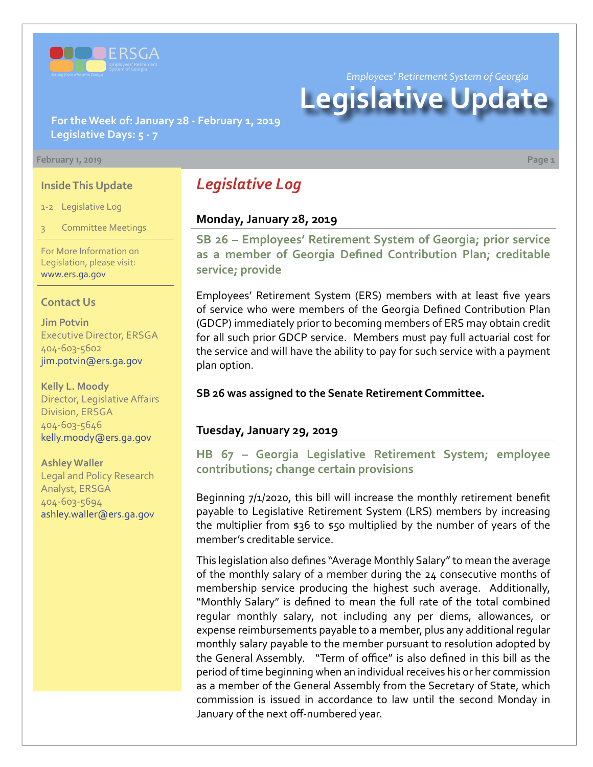

*Employees' Retirement System of Georgia*

# **Legislative Update**

**For the Week of: January 28 - February 1, 2019 Legislative Days: 5 - 7**

#### **February 1, 2019 Page 1**

#### **Inside This Update**

1-2 Legislative Log

3 Committee Meetings

For More Information on Legislation, please visit: [www.ers.ga.gov](http://www.ers.ga.gov/default.aspx)

#### **Contact Us**

**Jim Potvin** Executive Director, ERSGA 404-603-5602 jim.potvin@ers.ga.gov

**Kelly L. Moody** Director, Legislative Affairs Division, ERSGA 404-603-5646 kelly.moody@ers.ga.gov

**Ashley Waller** Legal and Policy Research Analyst, ERSGA 404-603-5694 ashley.waller@ers.ga.gov

# *Legislative Log*

## **Monday, January 28, 2019**

**SB 26 [– E](http://www.legis.ga.gov/legislation/en-US/Display/20192020/SB/26)mployees' Retirement System of Georgia; prior service as a member of Georgia Defined Contribution Plan; creditable service; provide**

Employees' Retirement System (ERS) members with at least five years of service who were members of the Georgia Defined Contribution Plan (GDCP) immediately prior to becoming members of ERS may obtain credit for all such prior GDCP service. Members must pay full actuarial cost for the service and will have the ability to pay for such service with a payment plan option.

### **SB 26 was assigned to the Senate Retirement Committee.**

# **Tuesday, January 29, 2019**

**HB 6[7 –](http://www.legis.ga.gov/legislation/en-US/Display/20192020/HB/67) Georgia Legislative Retirement System; employee contributions; change certain provisions**

Beginning 7/1/2020, this bill will increase the monthly retirement benefit payable to Legislative Retirement System (LRS) members by increasing the multiplier from \$36 to \$50 multiplied by the number of years of the member's creditable service.

This legislation also defines "Average Monthly Salary" to mean the average of the monthly salary of a member during the 24 consecutive months of membership service producing the highest such average. Additionally, "Monthly Salary" is defined to mean the full rate of the total combined regular monthly salary, not including any per diems, allowances, or expense reimbursements payable to a member, plus any additional regular monthly salary payable to the member pursuant to resolution adopted by the General Assembly. "Term of office" is also defined in this bill as the period of time beginning when an individual receives his or her commission as a member of the General Assembly from the Secretary of State, which commission is issued in accordance to law until the second Monday in January of the next off-numbered year.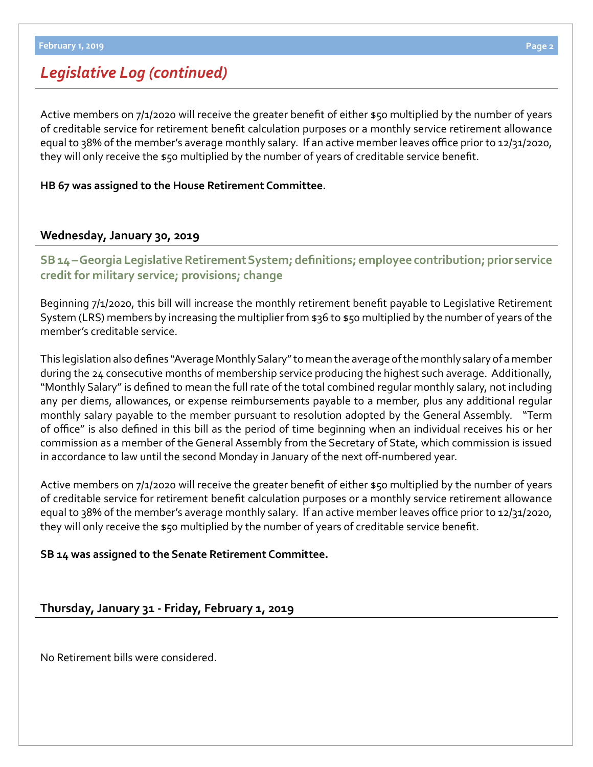# *Legislative Log (continued)*

Active members on 7/1/2020 will receive the greater benefit of either \$50 multiplied by the number of years of creditable service for retirement benefit calculation purposes or a monthly service retirement allowance equal to 38% of the member's average monthly salary. If an active member leaves office prior to 12/31/2020, they will only receive the \$50 multiplied by the number of years of creditable service benefit.

## **HB 67 was assigned to the House Retirement Committee.**

# **Wednesday, January 30, 2019**

**SB 14 [–](http://www.legis.ga.gov/legislation/en-US/Display/20192020/SB/14) Georgia Legislative Retirement System; definitions; employee contribution; prior service credit for military service; provisions; change**

Beginning 7/1/2020, this bill will increase the monthly retirement benefit payable to Legislative Retirement System (LRS) members by increasing the multiplier from \$36 to \$50 multiplied by the number of years of the member's creditable service.

This legislation also defines "Average Monthly Salary" to mean the average of the monthly salary of a member during the 24 consecutive months of membership service producing the highest such average. Additionally, "Monthly Salary" is defined to mean the full rate of the total combined regular monthly salary, not including any per diems, allowances, or expense reimbursements payable to a member, plus any additional regular monthly salary payable to the member pursuant to resolution adopted by the General Assembly. "Term of office" is also defined in this bill as the period of time beginning when an individual receives his or her commission as a member of the General Assembly from the Secretary of State, which commission is issued in accordance to law until the second Monday in January of the next off-numbered year.

Active members on 7/1/2020 will receive the greater benefit of either \$50 multiplied by the number of years of creditable service for retirement benefit calculation purposes or a monthly service retirement allowance equal to 38% of the member's average monthly salary. If an active member leaves office prior to 12/31/2020, they will only receive the \$50 multiplied by the number of years of creditable service benefit.

**SB 14 was assigned to the Senate Retirement Committee.** 

## **Thursday, January 31 - Friday, February 1, 2019**

No Retirement bills were considered.